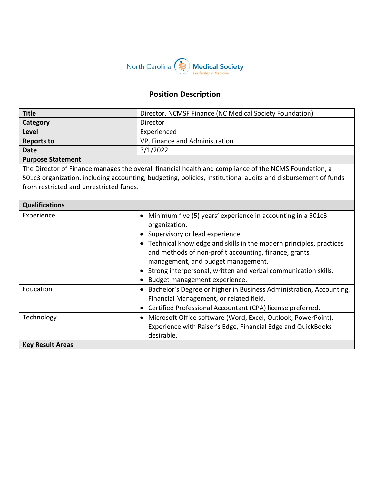

## **Position Description**

| <b>Title</b>                                                                                                                                                                                                                                                      | Director, NCMSF Finance (NC Medical Society Foundation)                                                                                                                                                                                                                                                                                                                                                  |  |
|-------------------------------------------------------------------------------------------------------------------------------------------------------------------------------------------------------------------------------------------------------------------|----------------------------------------------------------------------------------------------------------------------------------------------------------------------------------------------------------------------------------------------------------------------------------------------------------------------------------------------------------------------------------------------------------|--|
| Category                                                                                                                                                                                                                                                          | Director                                                                                                                                                                                                                                                                                                                                                                                                 |  |
| <b>Level</b>                                                                                                                                                                                                                                                      | Experienced                                                                                                                                                                                                                                                                                                                                                                                              |  |
| <b>Reports to</b>                                                                                                                                                                                                                                                 | VP, Finance and Administration                                                                                                                                                                                                                                                                                                                                                                           |  |
| <b>Date</b>                                                                                                                                                                                                                                                       | 3/1/2022                                                                                                                                                                                                                                                                                                                                                                                                 |  |
| <b>Purpose Statement</b>                                                                                                                                                                                                                                          |                                                                                                                                                                                                                                                                                                                                                                                                          |  |
| The Director of Finance manages the overall financial health and compliance of the NCMS Foundation, a<br>501c3 organization, including accounting, budgeting, policies, institutional audits and disbursement of funds<br>from restricted and unrestricted funds. |                                                                                                                                                                                                                                                                                                                                                                                                          |  |
| <b>Qualifications</b>                                                                                                                                                                                                                                             |                                                                                                                                                                                                                                                                                                                                                                                                          |  |
| Experience                                                                                                                                                                                                                                                        | Minimum five (5) years' experience in accounting in a 501c3<br>$\bullet$<br>organization.<br>• Supervisory or lead experience.<br>• Technical knowledge and skills in the modern principles, practices<br>and methods of non-profit accounting, finance, grants<br>management, and budget management.<br>Strong interpersonal, written and verbal communication skills.<br>Budget management experience. |  |
| Education                                                                                                                                                                                                                                                         | Bachelor's Degree or higher in Business Administration, Accounting,<br>$\bullet$<br>Financial Management, or related field.<br>Certified Professional Accountant (CPA) license preferred.                                                                                                                                                                                                                |  |
| Technology                                                                                                                                                                                                                                                        | Microsoft Office software (Word, Excel, Outlook, PowerPoint).<br>$\bullet$<br>Experience with Raiser's Edge, Financial Edge and QuickBooks<br>desirable.                                                                                                                                                                                                                                                 |  |
| <b>Key Result Areas</b>                                                                                                                                                                                                                                           |                                                                                                                                                                                                                                                                                                                                                                                                          |  |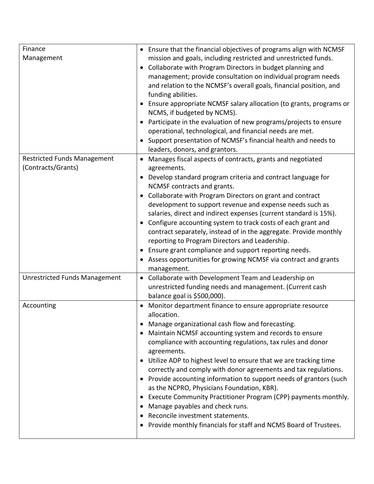| Finance                                                                                          | • Ensure that the financial objectives of programs align with NCMSF                                                                                                                                                                                                                                                                                                                                                                                                                                                                                                                                                                                                                                                                                                                            |
|--------------------------------------------------------------------------------------------------|------------------------------------------------------------------------------------------------------------------------------------------------------------------------------------------------------------------------------------------------------------------------------------------------------------------------------------------------------------------------------------------------------------------------------------------------------------------------------------------------------------------------------------------------------------------------------------------------------------------------------------------------------------------------------------------------------------------------------------------------------------------------------------------------|
| Management                                                                                       | mission and goals, including restricted and unrestricted funds.<br>Collaborate with Program Directors in budget planning and<br>$\bullet$<br>management; provide consultation on individual program needs<br>and relation to the NCMSF's overall goals, financial position, and<br>funding abilities.<br>• Ensure appropriate NCMSF salary allocation (to grants, programs or<br>NCMS, if budgeted by NCMS).<br>Participate in the evaluation of new programs/projects to ensure<br>$\bullet$<br>operational, technological, and financial needs are met.<br>• Support presentation of NCMSF's financial health and needs to                                                                                                                                                                   |
|                                                                                                  | leaders, donors, and grantors.                                                                                                                                                                                                                                                                                                                                                                                                                                                                                                                                                                                                                                                                                                                                                                 |
| <b>Restricted Funds Management</b><br>(Contracts/Grants)<br><b>Unrestricted Funds Management</b> | Manages fiscal aspects of contracts, grants and negotiated<br>agreements.<br>Develop standard program criteria and contract language for<br>NCMSF contracts and grants.<br>Collaborate with Program Directors on grant and contract<br>$\bullet$<br>development to support revenue and expense needs such as<br>salaries, direct and indirect expenses (current standard is 15%).<br>Configure accounting system to track costs of each grant and<br>contract separately, instead of in the aggregate. Provide monthly<br>reporting to Program Directors and Leadership.<br>Ensure grant compliance and support reporting needs.<br>Assess opportunities for growing NCMSF via contract and grants<br>management.<br>Collaborate with Development Team and Leadership on                       |
|                                                                                                  | $\bullet$<br>unrestricted funding needs and management. (Current cash<br>balance goal is \$500,000).                                                                                                                                                                                                                                                                                                                                                                                                                                                                                                                                                                                                                                                                                           |
| Accounting                                                                                       | Monitor department finance to ensure appropriate resource<br>allocation.<br>Manage organizational cash flow and forecasting.<br>Maintain NCMSF accounting system and records to ensure<br>compliance with accounting regulations, tax rules and donor<br>agreements.<br>Utilize ADP to highest level to ensure that we are tracking time<br>$\bullet$<br>correctly and comply with donor agreements and tax regulations.<br>• Provide accounting information to support needs of grantors (such<br>as the NCPRO, Physicians Foundation, KBR).<br>Execute Community Practitioner Program (CPP) payments monthly.<br>$\bullet$<br>Manage payables and check runs.<br>$\bullet$<br>Reconcile investment statements.<br>٠<br>Provide monthly financials for staff and NCMS Board of Trustees.<br>٠ |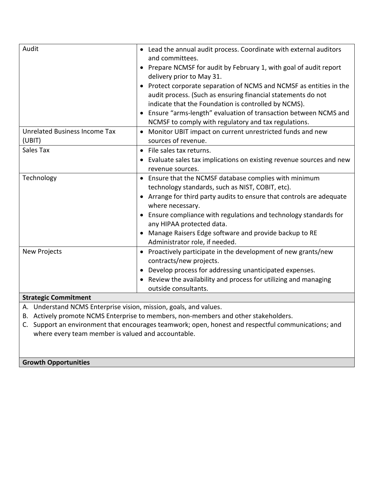| Audit                                                                               | • Lead the annual audit process. Coordinate with external auditors             |  |
|-------------------------------------------------------------------------------------|--------------------------------------------------------------------------------|--|
|                                                                                     | and committees.                                                                |  |
|                                                                                     | • Prepare NCMSF for audit by February 1, with goal of audit report             |  |
|                                                                                     | delivery prior to May 31.                                                      |  |
|                                                                                     | Protect corporate separation of NCMS and NCMSF as entities in the<br>$\bullet$ |  |
|                                                                                     | audit process. (Such as ensuring financial statements do not                   |  |
|                                                                                     | indicate that the Foundation is controlled by NCMS).                           |  |
|                                                                                     | Ensure "arms-length" evaluation of transaction between NCMS and                |  |
|                                                                                     | NCMSF to comply with regulatory and tax regulations.                           |  |
| Unrelated Business Income Tax                                                       | Monitor UBIT impact on current unrestricted funds and new<br>$\bullet$         |  |
| (UBIT)                                                                              | sources of revenue.                                                            |  |
| Sales Tax                                                                           | File sales tax returns.<br>$\bullet$                                           |  |
|                                                                                     | Evaluate sales tax implications on existing revenue sources and new            |  |
|                                                                                     | revenue sources.                                                               |  |
| Technology                                                                          | • Ensure that the NCMSF database complies with minimum                         |  |
|                                                                                     | technology standards, such as NIST, COBIT, etc).                               |  |
|                                                                                     | • Arrange for third party audits to ensure that controls are adequate          |  |
|                                                                                     | where necessary.                                                               |  |
|                                                                                     | Ensure compliance with regulations and technology standards for                |  |
|                                                                                     | any HIPAA protected data.                                                      |  |
|                                                                                     | Manage Raisers Edge software and provide backup to RE                          |  |
|                                                                                     | Administrator role, if needed.                                                 |  |
| <b>New Projects</b>                                                                 | Proactively participate in the development of new grants/new<br>$\bullet$      |  |
|                                                                                     | contracts/new projects.                                                        |  |
|                                                                                     | • Develop process for addressing unanticipated expenses.                       |  |
|                                                                                     | Review the availability and process for utilizing and managing                 |  |
|                                                                                     | outside consultants.                                                           |  |
| <b>Strategic Commitment</b>                                                         |                                                                                |  |
| A. Understand NCMS Enterprise vision, mission, goals, and values.                   |                                                                                |  |
| B. Actively promote NCMS Enterprise to members, non-members and other stakeholders. |                                                                                |  |

C. Support an environment that encourages teamwork; open, honest and respectful communications; and where every team member is valued and accountable.

**Growth Opportunities**